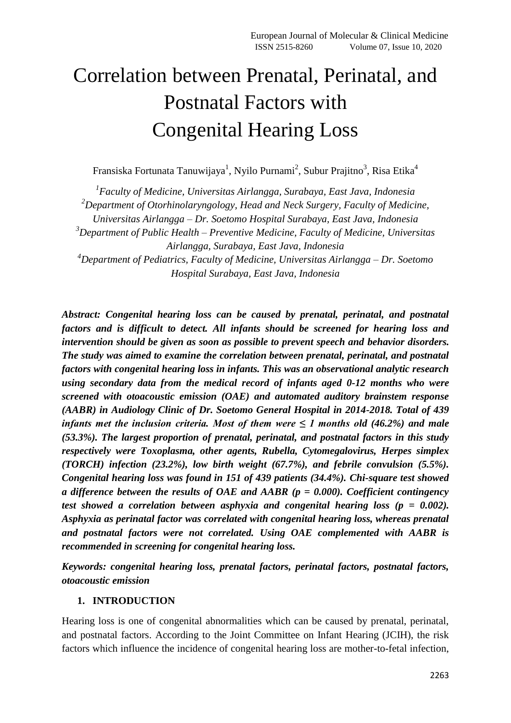# Correlation between Prenatal, Perinatal, and Postnatal Factors with Congenital Hearing Loss

Fransiska Fortunata Tanuwijaya $^1$ , Nyilo Purnami $^2$ , Subur Prajitno $^3$ , Risa Etika $^4$ 

*1 Faculty of Medicine, Universitas Airlangga, Surabaya, East Java, Indonesia <sup>2</sup>Department of Otorhinolaryngology, Head and Neck Surgery, Faculty of Medicine, Universitas Airlangga – Dr. Soetomo Hospital Surabaya, East Java, Indonesia <sup>3</sup>Department of Public Health – Preventive Medicine, Faculty of Medicine, Universitas Airlangga, Surabaya, East Java, Indonesia <sup>4</sup>Department of Pediatrics, Faculty of Medicine, Universitas Airlangga – Dr. Soetomo Hospital Surabaya, East Java, Indonesia*

*Abstract: Congenital hearing loss can be caused by prenatal, perinatal, and postnatal factors and is difficult to detect. All infants should be screened for hearing loss and intervention should be given as soon as possible to prevent speech and behavior disorders. The study was aimed to examine the correlation between prenatal, perinatal, and postnatal factors with congenital hearing loss in infants. This was an observational analytic research using secondary data from the medical record of infants aged 0-12 months who were screened with otoacoustic emission (OAE) and automated auditory brainstem response (AABR) in Audiology Clinic of Dr. Soetomo General Hospital in 2014-2018. Total of 439 infants met the inclusion criteria. Most of them were*  $\leq 1$  *months old (46.2%) and male (53.3%). The largest proportion of prenatal, perinatal, and postnatal factors in this study respectively were Toxoplasma, other agents, Rubella, Cytomegalovirus, Herpes simplex (TORCH) infection (23.2%), low birth weight (67.7%), and febrile convulsion (5.5%). Congenital hearing loss was found in 151 of 439 patients (34.4%). Chi-square test showed a difference between the results of OAE and AABR (p = 0.000). Coefficient contingency test showed a correlation between asphyxia and congenital hearing loss (p = 0.002). Asphyxia as perinatal factor was correlated with congenital hearing loss, whereas prenatal and postnatal factors were not correlated. Using OAE complemented with AABR is recommended in screening for congenital hearing loss.*

*Keywords: congenital hearing loss, prenatal factors, perinatal factors, postnatal factors, otoacoustic emission*

### **1. INTRODUCTION**

Hearing loss is one of congenital abnormalities which can be caused by prenatal, perinatal, and postnatal factors. According to the Joint Committee on Infant Hearing (JCIH), the risk factors which influence the incidence of congenital hearing loss are mother-to-fetal infection,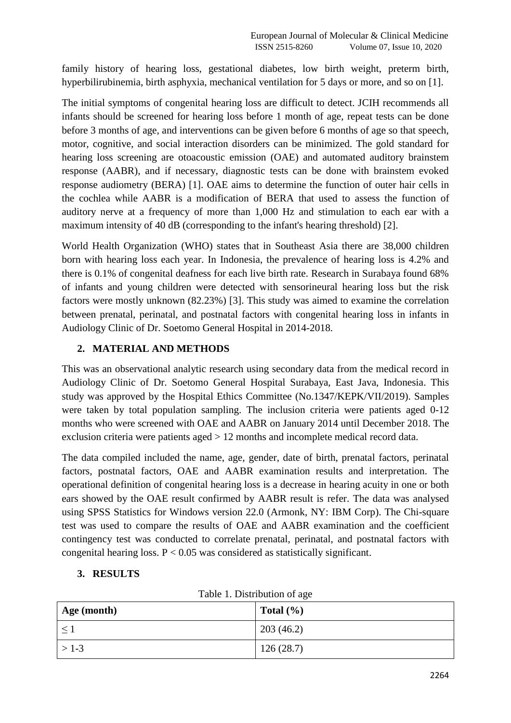family history of hearing loss, gestational diabetes, low birth weight, preterm birth, hyperbilirubinemia, birth asphyxia, mechanical ventilation for 5 days or more, and so on [1].

The initial symptoms of congenital hearing loss are difficult to detect. JCIH recommends all infants should be screened for hearing loss before 1 month of age, repeat tests can be done before 3 months of age, and interventions can be given before 6 months of age so that speech, motor, cognitive, and social interaction disorders can be minimized. The gold standard for hearing loss screening are otoacoustic emission (OAE) and automated auditory brainstem response (AABR), and if necessary, diagnostic tests can be done with brainstem evoked response audiometry (BERA) [1]. OAE aims to determine the function of outer hair cells in the cochlea while AABR is a modification of BERA that used to assess the function of auditory nerve at a frequency of more than 1,000 Hz and stimulation to each ear with a maximum intensity of 40 dB (corresponding to the infant's hearing threshold) [2].

World Health Organization (WHO) states that in Southeast Asia there are 38,000 children born with hearing loss each year. In Indonesia, the prevalence of hearing loss is 4.2% and there is 0.1% of congenital deafness for each live birth rate. Research in Surabaya found 68% of infants and young children were detected with sensorineural hearing loss but the risk factors were mostly unknown (82.23%) [3]. This study was aimed to examine the correlation between prenatal, perinatal, and postnatal factors with congenital hearing loss in infants in Audiology Clinic of Dr. Soetomo General Hospital in 2014-2018.

### **2. MATERIAL AND METHODS**

This was an observational analytic research using secondary data from the medical record in Audiology Clinic of Dr. Soetomo General Hospital Surabaya, East Java, Indonesia. This study was approved by the Hospital Ethics Committee (No.1347/KEPK/VII/2019). Samples were taken by total population sampling. The inclusion criteria were patients aged 0-12 months who were screened with OAE and AABR on January 2014 until December 2018. The exclusion criteria were patients aged > 12 months and incomplete medical record data.

The data compiled included the name, age, gender, date of birth, prenatal factors, perinatal factors, postnatal factors, OAE and AABR examination results and interpretation. The operational definition of congenital hearing loss is a decrease in hearing acuity in one or both ears showed by the OAE result confirmed by AABR result is refer. The data was analysed using SPSS Statistics for Windows version 22.0 (Armonk, NY: IBM Corp). The Chi-square test was used to compare the results of OAE and AABR examination and the coefficient contingency test was conducted to correlate prenatal, perinatal, and postnatal factors with congenital hearing loss.  $P < 0.05$  was considered as statistically significant.

# **3. RESULTS**

| Table 1. Distribution of age |
|------------------------------|
|------------------------------|

| Age (month) | Total $(\% )$ |
|-------------|---------------|
|             | 203(46.2)     |
| $>1-3$      | 126(28.7)     |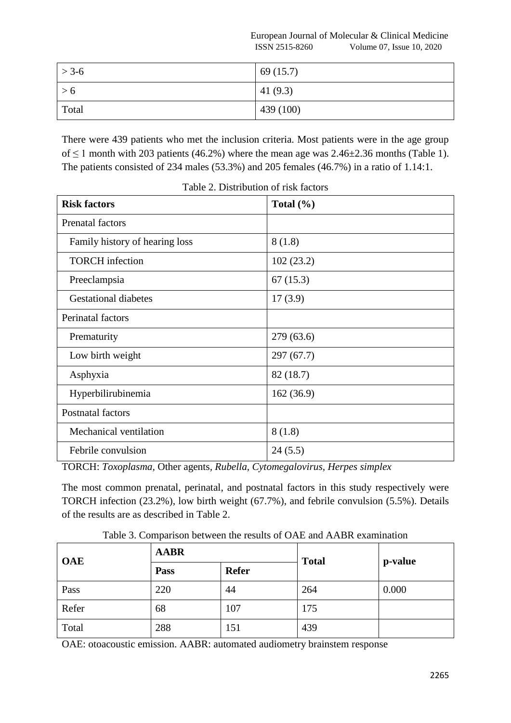European Journal of Molecular & Clinical Medicine ISSN 2515-8260 Volume 07, Issue 10, 2020

| $> 3-6$ | 69(15.7)   |
|---------|------------|
| > 6     | 41 $(9.3)$ |
| Total   | 439 (100)  |

There were 439 patients who met the inclusion criteria. Most patients were in the age group of  $\leq$  1 month with 203 patients (46.2%) where the mean age was 2.46 $\pm$ 2.36 months (Table 1). The patients consisted of 234 males (53.3%) and 205 females (46.7%) in a ratio of 1.14:1.

| <b>Risk factors</b>            | Total $(\% )$ |  |
|--------------------------------|---------------|--|
| <b>Prenatal factors</b>        |               |  |
| Family history of hearing loss | 8(1.8)        |  |
| <b>TORCH</b> infection         | 102(23.2)     |  |
| Preeclampsia                   | 67(15.3)      |  |
| <b>Gestational diabetes</b>    | 17(3.9)       |  |
| Perinatal factors              |               |  |
| Prematurity                    | 279 (63.6)    |  |
| Low birth weight               | 297(67.7)     |  |
| Asphyxia                       | 82 (18.7)     |  |
| Hyperbilirubinemia             | 162(36.9)     |  |
| Postnatal factors              |               |  |
| Mechanical ventilation         | 8(1.8)        |  |
| Febrile convulsion             | 24(5.5)       |  |

Table 2. Distribution of risk factors

TORCH: *Toxoplasma,* Other agents*, Rubella, Cytomegalovirus, Herpes simplex*

The most common prenatal, perinatal, and postnatal factors in this study respectively were TORCH infection (23.2%), low birth weight (67.7%), and febrile convulsion (5.5%). Details of the results are as described in Table 2.

Table 3. Comparison between the results of OAE and AABR examination

| <b>OAE</b> | <b>AABR</b> |              | <b>Total</b> | p-value |
|------------|-------------|--------------|--------------|---------|
|            | Pass        | <b>Refer</b> |              |         |
| Pass       | 220         | 44           | 264          | 0.000   |
| Refer      | 68          | 107          | 175          |         |
| Total      | 288         | 151          | 439          |         |

OAE: otoacoustic emission. AABR: automated audiometry brainstem response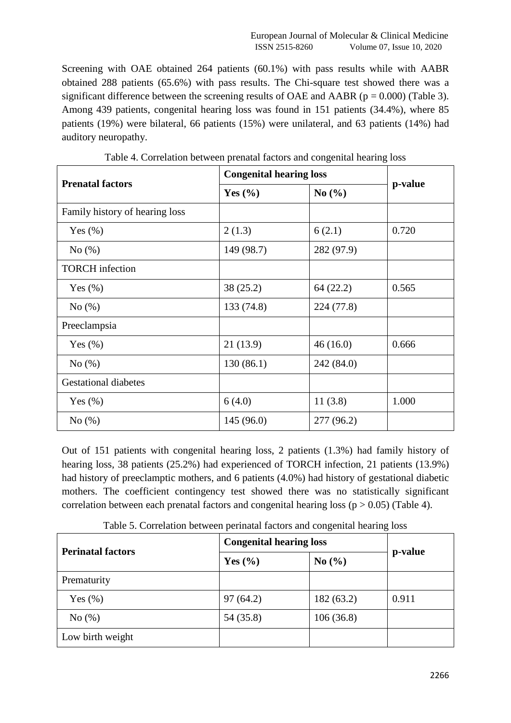Screening with OAE obtained 264 patients (60.1%) with pass results while with AABR obtained 288 patients (65.6%) with pass results. The Chi-square test showed there was a significant difference between the screening results of OAE and AABR ( $p = 0.000$ ) (Table 3). Among 439 patients, congenital hearing loss was found in 151 patients (34.4%), where 85 patients (19%) were bilateral, 66 patients (15%) were unilateral, and 63 patients (14%) had auditory neuropathy.

| <b>Prenatal factors</b>        | <b>Congenital hearing loss</b> |            |         |
|--------------------------------|--------------------------------|------------|---------|
|                                | Yes $(\% )$                    | No $(\% )$ | p-value |
| Family history of hearing loss |                                |            |         |
| Yes $(\% )$                    | 2(1.3)                         | 6(2.1)     | 0.720   |
| No $(\%)$                      | 149 (98.7)                     | 282 (97.9) |         |
| <b>TORCH</b> infection         |                                |            |         |
| Yes $(\% )$                    | 38(25.2)                       | 64(22.2)   | 0.565   |
| No(%)                          | 133 (74.8)                     | 224 (77.8) |         |
| Preeclampsia                   |                                |            |         |
| Yes $(\%)$                     | 21(13.9)                       | 46(16.0)   | 0.666   |
| No $(\%)$                      | 130(86.1)                      | 242 (84.0) |         |
| <b>Gestational diabetes</b>    |                                |            |         |
| Yes $(\%)$                     | 6(4.0)                         | 11(3.8)    | 1.000   |
| No(%)                          | 145(96.0)                      | 277 (96.2) |         |

Table 4. Correlation between prenatal factors and congenital hearing loss

Out of 151 patients with congenital hearing loss, 2 patients (1.3%) had family history of hearing loss, 38 patients (25.2%) had experienced of TORCH infection, 21 patients (13.9%) had history of preeclamptic mothers, and 6 patients (4.0%) had history of gestational diabetic mothers. The coefficient contingency test showed there was no statistically significant correlation between each prenatal factors and congenital hearing loss ( $p > 0.05$ ) (Table 4).

| <b>Perinatal factors</b> | <b>Congenital hearing loss</b> |                               |         |
|--------------------------|--------------------------------|-------------------------------|---------|
|                          | Yes $(\% )$                    | No $\left(\frac{0}{0}\right)$ | p-value |
| Prematurity              |                                |                               |         |
| Yes $(\%)$               | 97(64.2)                       | 182(63.2)                     | 0.911   |
| No $(\%)$                | 54 (35.8)                      | 106(36.8)                     |         |
| Low birth weight         |                                |                               |         |

Table 5. Correlation between perinatal factors and congenital hearing loss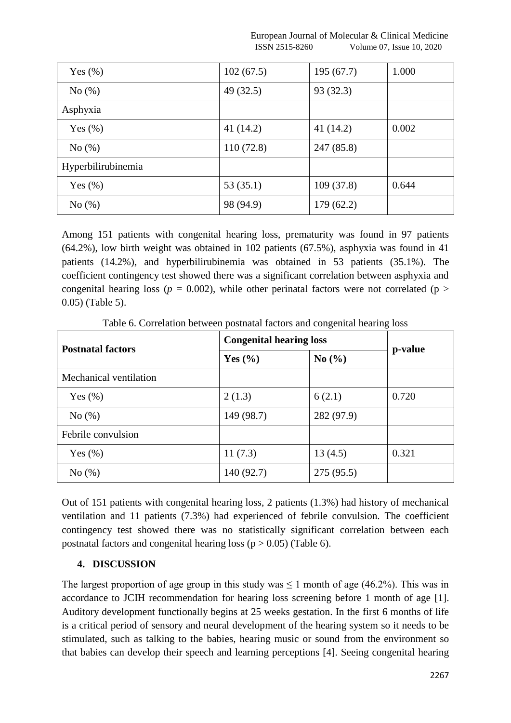European Journal of Molecular & Clinical Medicine ISSN 2515-8260 Volume 07, Issue 10, 2020

| Yes $(\%)$         | 102(67.5) | 195(67.7)  | 1.000 |
|--------------------|-----------|------------|-------|
| No(%)              | 49 (32.5) | 93 (32.3)  |       |
| Asphyxia           |           |            |       |
| Yes $(\% )$        | 41 (14.2) | 41 (14.2)  | 0.002 |
| No(%)              | 110(72.8) | 247 (85.8) |       |
| Hyperbilirubinemia |           |            |       |
| Yes $(\% )$        | 53(35.1)  | 109(37.8)  | 0.644 |
| No(%)              | 98 (94.9) | 179(62.2)  |       |

Among 151 patients with congenital hearing loss, prematurity was found in 97 patients (64.2%), low birth weight was obtained in 102 patients (67.5%), asphyxia was found in 41 patients (14.2%), and hyperbilirubinemia was obtained in 53 patients (35.1%). The coefficient contingency test showed there was a significant correlation between asphyxia and congenital hearing loss ( $p = 0.002$ ), while other perinatal factors were not correlated ( $p >$ 0.05) (Table 5).

Table 6. Correlation between postnatal factors and congenital hearing loss

| <b>Postnatal factors</b> |             | <b>Congenital hearing loss</b> |         |
|--------------------------|-------------|--------------------------------|---------|
|                          | Yes $(\% )$ | No $\left(\frac{0}{0}\right)$  | p-value |
| Mechanical ventilation   |             |                                |         |
| Yes $(\% )$              | 2(1.3)      | 6(2.1)                         | 0.720   |
| No $(\%)$                | 149 (98.7)  | 282 (97.9)                     |         |
| Febrile convulsion       |             |                                |         |
| Yes $(\% )$              | 11(7.3)     | 13(4.5)                        | 0.321   |
| No(%)                    | 140 (92.7)  | 275 (95.5)                     |         |

Out of 151 patients with congenital hearing loss, 2 patients (1.3%) had history of mechanical ventilation and 11 patients (7.3%) had experienced of febrile convulsion. The coefficient contingency test showed there was no statistically significant correlation between each postnatal factors and congenital hearing loss ( $p > 0.05$ ) (Table 6).

### **4. DISCUSSION**

The largest proportion of age group in this study was  $\leq 1$  month of age (46.2%). This was in accordance to JCIH recommendation for hearing loss screening before 1 month of age [1]. Auditory development functionally begins at 25 weeks gestation. In the first 6 months of life is a critical period of sensory and neural development of the hearing system so it needs to be stimulated, such as talking to the babies, hearing music or sound from the environment so that babies can develop their speech and learning perceptions [4]. Seeing congenital hearing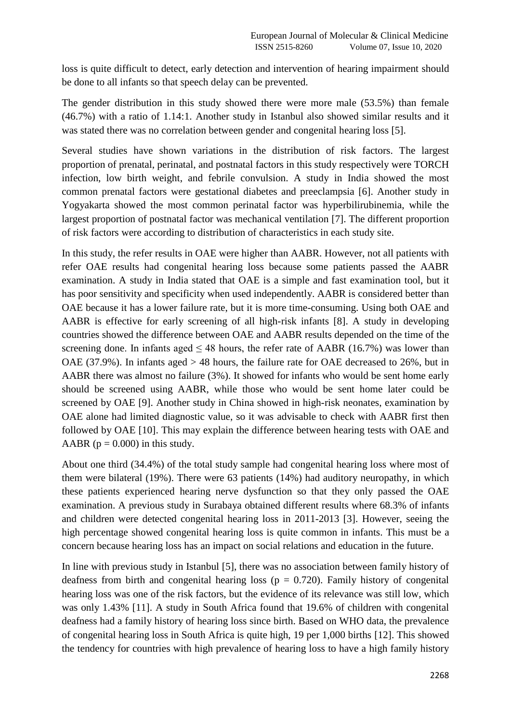loss is quite difficult to detect, early detection and intervention of hearing impairment should be done to all infants so that speech delay can be prevented.

The gender distribution in this study showed there were more male (53.5%) than female (46.7%) with a ratio of 1.14:1. Another study in Istanbul also showed similar results and it was stated there was no correlation between gender and congenital hearing loss [5].

Several studies have shown variations in the distribution of risk factors. The largest proportion of prenatal, perinatal, and postnatal factors in this study respectively were TORCH infection, low birth weight, and febrile convulsion. A study in India showed the most common prenatal factors were gestational diabetes and preeclampsia [6]. Another study in Yogyakarta showed the most common perinatal factor was hyperbilirubinemia, while the largest proportion of postnatal factor was mechanical ventilation [7]. The different proportion of risk factors were according to distribution of characteristics in each study site.

In this study, the refer results in OAE were higher than AABR. However, not all patients with refer OAE results had congenital hearing loss because some patients passed the AABR examination. A study in India stated that OAE is a simple and fast examination tool, but it has poor sensitivity and specificity when used independently. AABR is considered better than OAE because it has a lower failure rate, but it is more time-consuming. Using both OAE and AABR is effective for early screening of all high-risk infants [8]. A study in developing countries showed the difference between OAE and AABR results depended on the time of the screening done. In infants aged  $\leq 48$  hours, the refer rate of AABR (16.7%) was lower than OAE (37.9%). In infants aged > 48 hours, the failure rate for OAE decreased to 26%, but in AABR there was almost no failure (3%). It showed for infants who would be sent home early should be screened using AABR, while those who would be sent home later could be screened by OAE [9]. Another study in China showed in high-risk neonates, examination by OAE alone had limited diagnostic value, so it was advisable to check with AABR first then followed by OAE [10]. This may explain the difference between hearing tests with OAE and AABR ( $p = 0.000$ ) in this study.

About one third (34.4%) of the total study sample had congenital hearing loss where most of them were bilateral (19%). There were 63 patients (14%) had auditory neuropathy, in which these patients experienced hearing nerve dysfunction so that they only passed the OAE examination. A previous study in Surabaya obtained different results where 68.3% of infants and children were detected congenital hearing loss in 2011-2013 [3]. However, seeing the high percentage showed congenital hearing loss is quite common in infants. This must be a concern because hearing loss has an impact on social relations and education in the future.

In line with previous study in Istanbul [5], there was no association between family history of deafness from birth and congenital hearing loss ( $p = 0.720$ ). Family history of congenital hearing loss was one of the risk factors, but the evidence of its relevance was still low, which was only 1.43% [11]. A study in South Africa found that 19.6% of children with congenital deafness had a family history of hearing loss since birth. Based on WHO data, the prevalence of congenital hearing loss in South Africa is quite high, 19 per 1,000 births [12]. This showed the tendency for countries with high prevalence of hearing loss to have a high family history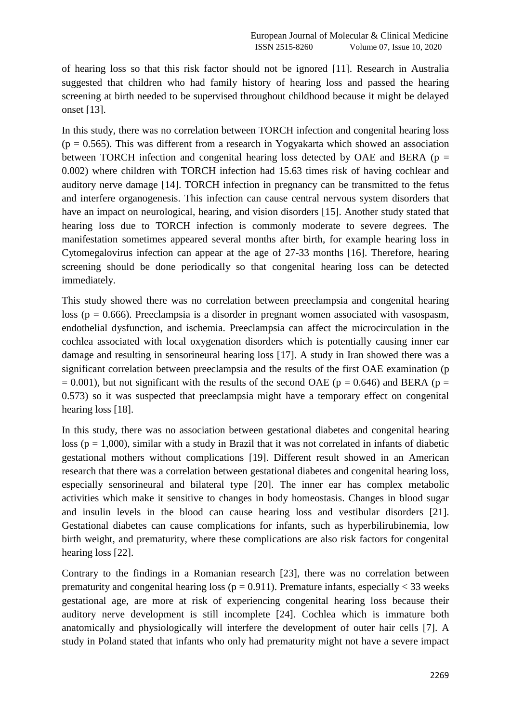of hearing loss so that this risk factor should not be ignored [11]. Research in Australia suggested that children who had family history of hearing loss and passed the hearing screening at birth needed to be supervised throughout childhood because it might be delayed onset [13].

In this study, there was no correlation between TORCH infection and congenital hearing loss  $(p = 0.565)$ . This was different from a research in Yogyakarta which showed an association between TORCH infection and congenital hearing loss detected by OAE and BERA ( $p =$ 0.002) where children with TORCH infection had 15.63 times risk of having cochlear and auditory nerve damage [14]. TORCH infection in pregnancy can be transmitted to the fetus and interfere organogenesis. This infection can cause central nervous system disorders that have an impact on neurological, hearing, and vision disorders [15]. Another study stated that hearing loss due to TORCH infection is commonly moderate to severe degrees. The manifestation sometimes appeared several months after birth, for example hearing loss in Cytomegalovirus infection can appear at the age of 27-33 months [16]. Therefore, hearing screening should be done periodically so that congenital hearing loss can be detected immediately.

This study showed there was no correlation between preeclampsia and congenital hearing loss ( $p = 0.666$ ). Preeclampsia is a disorder in pregnant women associated with vasospasm, endothelial dysfunction, and ischemia. Preeclampsia can affect the microcirculation in the cochlea associated with local oxygenation disorders which is potentially causing inner ear damage and resulting in sensorineural hearing loss [17]. A study in Iran showed there was a significant correlation between preeclampsia and the results of the first OAE examination (p  $= 0.001$ ), but not significant with the results of the second OAE (p = 0.646) and BERA (p = 0.573) so it was suspected that preeclampsia might have a temporary effect on congenital hearing loss [18].

In this study, there was no association between gestational diabetes and congenital hearing loss ( $p = 1,000$ ), similar with a study in Brazil that it was not correlated in infants of diabetic gestational mothers without complications [19]. Different result showed in an American research that there was a correlation between gestational diabetes and congenital hearing loss, especially sensorineural and bilateral type [20]. The inner ear has complex metabolic activities which make it sensitive to changes in body homeostasis. Changes in blood sugar and insulin levels in the blood can cause hearing loss and vestibular disorders [21]. Gestational diabetes can cause complications for infants, such as hyperbilirubinemia, low birth weight, and prematurity, where these complications are also risk factors for congenital hearing loss [22].

Contrary to the findings in a Romanian research [23], there was no correlation between prematurity and congenital hearing loss ( $p = 0.911$ ). Premature infants, especially < 33 weeks gestational age, are more at risk of experiencing congenital hearing loss because their auditory nerve development is still incomplete [24]. Cochlea which is immature both anatomically and physiologically will interfere the development of outer hair cells [7]. A study in Poland stated that infants who only had prematurity might not have a severe impact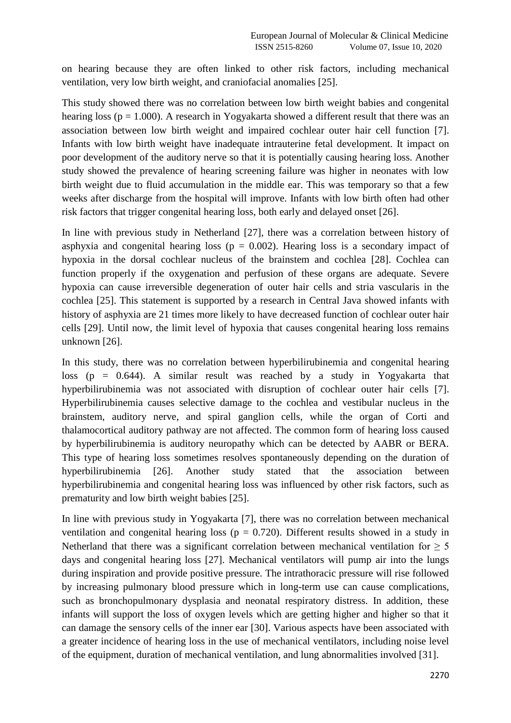on hearing because they are often linked to other risk factors, including mechanical ventilation, very low birth weight, and craniofacial anomalies [25].

This study showed there was no correlation between low birth weight babies and congenital hearing loss ( $p = 1.000$ ). A research in Yogyakarta showed a different result that there was an association between low birth weight and impaired cochlear outer hair cell function [7]. Infants with low birth weight have inadequate intrauterine fetal development. It impact on poor development of the auditory nerve so that it is potentially causing hearing loss. Another study showed the prevalence of hearing screening failure was higher in neonates with low birth weight due to fluid accumulation in the middle ear. This was temporary so that a few weeks after discharge from the hospital will improve. Infants with low birth often had other risk factors that trigger congenital hearing loss, both early and delayed onset [26].

In line with previous study in Netherland [27], there was a correlation between history of asphyxia and congenital hearing loss ( $p = 0.002$ ). Hearing loss is a secondary impact of hypoxia in the dorsal cochlear nucleus of the brainstem and cochlea [28]. Cochlea can function properly if the oxygenation and perfusion of these organs are adequate. Severe hypoxia can cause irreversible degeneration of outer hair cells and stria vascularis in the cochlea [25]. This statement is supported by a research in Central Java showed infants with history of asphyxia are 21 times more likely to have decreased function of cochlear outer hair cells [29]. Until now, the limit level of hypoxia that causes congenital hearing loss remains unknown [26].

In this study, there was no correlation between hyperbilirubinemia and congenital hearing loss ( $p = 0.644$ ). A similar result was reached by a study in Yogyakarta that hyperbilirubinemia was not associated with disruption of cochlear outer hair cells [7]. Hyperbilirubinemia causes selective damage to the cochlea and vestibular nucleus in the brainstem, auditory nerve, and spiral ganglion cells, while the organ of Corti and thalamocortical auditory pathway are not affected. The common form of hearing loss caused by hyperbilirubinemia is auditory neuropathy which can be detected by AABR or BERA. This type of hearing loss sometimes resolves spontaneously depending on the duration of hyperbilirubinemia [26]. Another study stated that the association between hyperbilirubinemia and congenital hearing loss was influenced by other risk factors, such as prematurity and low birth weight babies [25].

In line with previous study in Yogyakarta [7], there was no correlation between mechanical ventilation and congenital hearing loss ( $p = 0.720$ ). Different results showed in a study in Netherland that there was a significant correlation between mechanical ventilation for  $\geq 5$ days and congenital hearing loss [27]. Mechanical ventilators will pump air into the lungs during inspiration and provide positive pressure. The intrathoracic pressure will rise followed by increasing pulmonary blood pressure which in long-term use can cause complications, such as bronchopulmonary dysplasia and neonatal respiratory distress. In addition, these infants will support the loss of oxygen levels which are getting higher and higher so that it can damage the sensory cells of the inner ear [30]. Various aspects have been associated with a greater incidence of hearing loss in the use of mechanical ventilators, including noise level of the equipment, duration of mechanical ventilation, and lung abnormalities involved [31].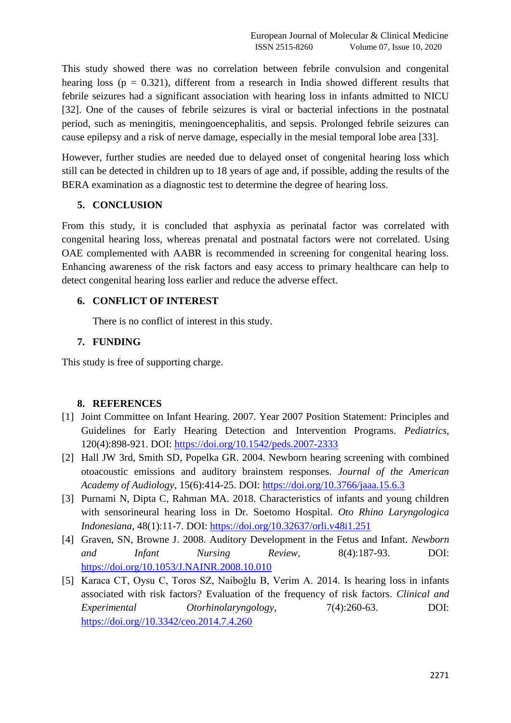This study showed there was no correlation between febrile convulsion and congenital hearing loss ( $p = 0.321$ ), different from a research in India showed different results that febrile seizures had a significant association with hearing loss in infants admitted to NICU [32]. One of the causes of febrile seizures is viral or bacterial infections in the postnatal period, such as meningitis, meningoencephalitis, and sepsis. Prolonged febrile seizures can cause epilepsy and a risk of nerve damage, especially in the mesial temporal lobe area [33].

However, further studies are needed due to delayed onset of congenital hearing loss which still can be detected in children up to 18 years of age and, if possible, adding the results of the BERA examination as a diagnostic test to determine the degree of hearing loss.

### **5. CONCLUSION**

From this study, it is concluded that asphyxia as perinatal factor was correlated with congenital hearing loss, whereas prenatal and postnatal factors were not correlated. Using OAE complemented with AABR is recommended in screening for congenital hearing loss. Enhancing awareness of the risk factors and easy access to primary healthcare can help to detect congenital hearing loss earlier and reduce the adverse effect.

### **6. CONFLICT OF INTEREST**

There is no conflict of interest in this study.

# **7. FUNDING**

This study is free of supporting charge.

# **8. REFERENCES**

- [1] Joint Committee on Infant Hearing. 2007. Year 2007 Position Statement: Principles and Guidelines for Early Hearing Detection and Intervention Programs. *Pediatrics*, 120(4):898-921. DOI: <https://doi.org/10.1542/peds.2007-2333>
- [2] Hall JW 3rd, Smith SD, Popelka GR. 2004. Newborn hearing screening with combined otoacoustic emissions and auditory brainstem responses. *Journal of the American Academy of Audiology*, 15(6):414-25. DOI: <https://doi.org/10.3766/jaaa.15.6.3>
- [3] Purnami N, Dipta C, Rahman MA. 2018. Characteristics of infants and young children with sensorineural hearing loss in Dr. Soetomo Hospital. *Oto Rhino Laryngologica Indonesiana*, 48(1):11-7. DOI: <https://doi.org/10.32637/orli.v48i1.251>
- [4] Graven, SN, Browne J. 2008. Auditory Development in the Fetus and Infant. *Newborn and Infant Nursing Review*, 8(4):187-93. DOI: <https://doi.org/10.1053/J.NAINR.2008.10.010>
- [5] Karaca CT, Oysu C, Toros SZ, Naiboğlu B, Verim A, 2014. Is hearing loss in infants associated with risk factors? Evaluation of the frequency of risk factors. *Clinical and Experimental Otorhinolaryngology*, 7(4):260-63. DOI: [https://doi.org//10.3342/ceo.2014.7.4.260](https://doi.org/10.3342/ceo.2014.7.4.260)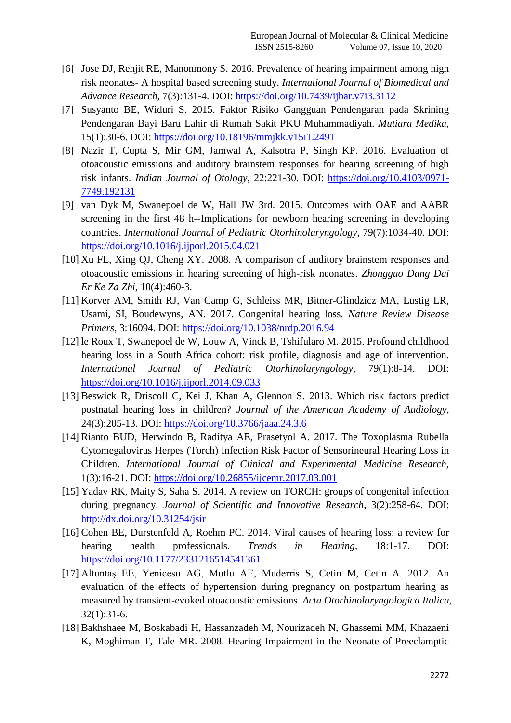- [6] Jose DJ, Renjit RE, Manonmony S. 2016. Prevalence of hearing impairment among high risk neonates- A hospital based screening study. *International Journal of Biomedical and Advance Research*, 7(3):131-4. DOI:<https://doi.org/10.7439/ijbar.v7i3.3112>
- [7] Susyanto BE, Widuri S. 2015. Faktor Risiko Gangguan Pendengaran pada Skrining Pendengaran Bayi Baru Lahir di Rumah Sakit PKU Muhammadiyah. *Mutiara Medika*, 15(1):30-6. DOI:<https://doi.org/10.18196/mmjkk.v15i1.2491>
- [8] Nazir T, Cupta S, Mir GM, Jamwal A, Kalsotra P, Singh KP. 2016. Evaluation of otoacoustic emissions and auditory brainstem responses for hearing screening of high risk infants. *Indian Journal of Otology*, 22:221-30. DOI: [https://doi.org/10.4103/0971-](https://doi.org/10.4103/0971-7749.192131) [7749.192131](https://doi.org/10.4103/0971-7749.192131)
- [9] van Dyk M, Swanepoel de W, Hall JW 3rd. 2015. Outcomes with OAE and AABR screening in the first 48 h--Implications for newborn hearing screening in developing countries. *International Journal of Pediatric Otorhinolaryngology*, 79(7):1034-40. DOI: <https://doi.org/10.1016/j.ijporl.2015.04.021>
- [10] Xu FL, Xing QJ, Cheng XY. 2008. A comparison of auditory brainstem responses and otoacoustic emissions in hearing screening of high-risk neonates. *Zhongguo Dang Dai Er Ke Za Zhi*, 10(4):460-3.
- [11] Korver AM, Smith RJ, Van Camp G, Schleiss MR, Bitner-Glindzicz MA, Lustig LR, Usami, SI, Boudewyns, AN. 2017. Congenital hearing loss. *Nature Review Disease Primers*, 3:16094. DOI: <https://doi.org/10.1038/nrdp.2016.94>
- [12] le Roux T, Swanepoel de W, Louw A, Vinck B, Tshifularo M. 2015. Profound childhood hearing loss in a South Africa cohort: risk profile, diagnosis and age of intervention. *International Journal of Pediatric Otorhinolaryngology*, 79(1):8-14. DOI: <https://doi.org/10.1016/j.ijporl.2014.09.033>
- [13] Beswick R, Driscoll C, Kei J, Khan A, Glennon S. 2013. Which risk factors predict postnatal hearing loss in children? *Journal of the American Academy of Audiology*, 24(3):205-13. DOI: <https://doi.org/10.3766/jaaa.24.3.6>
- [14] Rianto BUD, Herwindo B, Raditya AE, Prasetyol A. 2017. The Toxoplasma Rubella Cytomegalovirus Herpes (Torch) Infection Risk Factor of Sensorineural Hearing Loss in Children. *International Journal of Clinical and Experimental Medicine Research*, 1(3):16-21. DOI:<https://doi.org/10.26855/ijcemr.2017.03.001>
- [15] Yadav RK, Maity S, Saha S. 2014. A review on TORCH: groups of congenital infection during pregnancy. *Journal of Scientific and Innovative Research*, 3(2):258-64. DOI: <http://dx.doi.org/10.31254/jsir>
- [16] Cohen BE, Durstenfeld A, Roehm PC. 2014. Viral causes of hearing loss: a review for hearing health professionals. *Trends in Hearing*, 18:1-17. DOI: <https://doi.org/10.1177/2331216514541361>
- [17] Altuntaş EE, Yenicesu AG, Mutlu AE, Muderris S, Cetin M, Cetin A. 2012. An evaluation of the effects of hypertension during pregnancy on postpartum hearing as measured by transient-evoked otoacoustic emissions. *Acta Otorhinolaryngologica Italica*, 32(1):31-6.
- [18] Bakhshaee M, Boskabadi H, Hassanzadeh M, Nourizadeh N, Ghassemi MM, Khazaeni K, Moghiman T, Tale MR. 2008. Hearing Impairment in the Neonate of Preeclamptic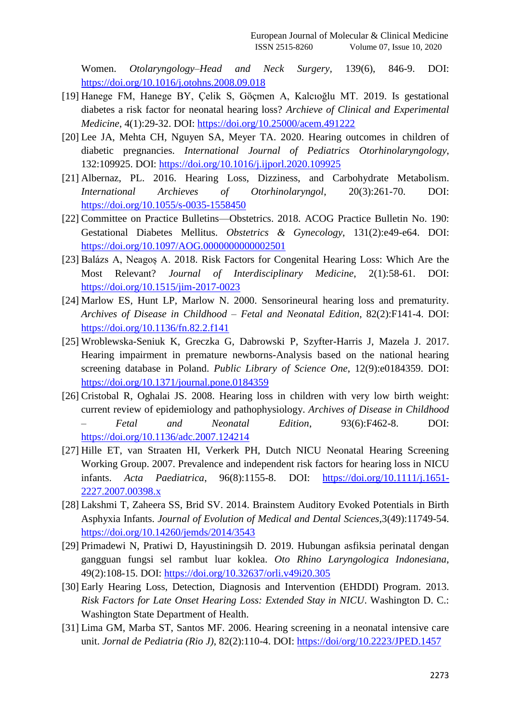Women. *Otolaryngology–Head and Neck Surgery,* 139(6), 846-9. DOI: <https://doi.org/10.1016/j.otohns.2008.09.018>

- [19] Hanege FM, Hanege BY, Çelik S, Göçmen A, Kalcıoğlu MT. 2019. Is gestational diabetes a risk factor for neonatal hearing loss? *Archieve of Clinical and Experimental Medicine*, 4(1):29-32. DOI:<https://doi.org/10.25000/acem.491222>
- [20] Lee JA, Mehta CH, Nguyen SA, Meyer TA. 2020. Hearing outcomes in children of diabetic pregnancies. *International Journal of Pediatrics Otorhinolaryngology*, 132:109925. DOI:<https://doi.org/10.1016/j.ijporl.2020.109925>
- [21] Albernaz, PL. 2016. Hearing Loss, Dizziness, and Carbohydrate Metabolism. *International Archieves of Otorhinolaryngol*, 20(3):261-70. DOI: <https://doi.org/10.1055/s-0035-1558450>
- [22] Committee on Practice Bulletins—Obstetrics. 2018. ACOG Practice Bulletin No. 190: Gestational Diabetes Mellitus. *Obstetrics & Gynecology*, 131(2):e49-e64. DOI: <https://doi.org/10.1097/AOG.0000000000002501>
- [23] Balázs A, Neagoș A. 2018. Risk Factors for Congenital Hearing Loss: Which Are the Most Relevant? *Journal of Interdisciplinary Medicine*, 2(1):58-61. DOI: <https://doi.org/10.1515/jim-2017-0023>
- [24] Marlow ES, Hunt LP, Marlow N. 2000. Sensorineural hearing loss and prematurity. *Archives of Disease in Childhood – Fetal and Neonatal Edition*, 82(2):F141-4. DOI: <https://doi.org/10.1136/fn.82.2.f141>
- [25] Wroblewska-Seniuk K, Greczka G, Dabrowski P, Szyfter-Harris J, Mazela J. 2017. Hearing impairment in premature newborns-Analysis based on the national hearing screening database in Poland. *Public Library of Science One*, 12(9):e0184359. DOI: <https://doi.org/10.1371/journal.pone.0184359>
- [26] Cristobal R, Oghalai JS. 2008. Hearing loss in children with very low birth weight: current review of epidemiology and pathophysiology. *Archives of Disease in Childhood – Fetal and Neonatal Edition*, 93(6):F462-8. DOI: <https://doi.org/10.1136/adc.2007.124214>
- [27] Hille ET, van Straaten HI, Verkerk PH, Dutch NICU Neonatal Hearing Screening Working Group. 2007. Prevalence and independent risk factors for hearing loss in NICU infants. *Acta Paediatrica*, 96(8):1155-8. DOI: [https://doi.org/10.1111/j.1651-](https://doi.org/10.1111/j.1651-2227.2007.00398.x) [2227.2007.00398.x](https://doi.org/10.1111/j.1651-2227.2007.00398.x)
- [28] Lakshmi T, Zaheera SS, Brid SV. 2014. Brainstem Auditory Evoked Potentials in Birth Asphyxia Infants. *Journal of Evolution of Medical and Dental Sciences*,3(49):11749-54. <https://doi.org/10.14260/jemds/2014/3543>
- [29] Primadewi N, Pratiwi D, Hayustiningsih D. 2019. Hubungan asfiksia perinatal dengan gangguan fungsi sel rambut luar koklea. *Oto Rhino Laryngologica Indonesiana*, 49(2):108-15. DOI: <https://doi.org/10.32637/orli.v49i20.305>
- [30] Early Hearing Loss, Detection, Diagnosis and Intervention (EHDDI) Program. 2013. *Risk Factors for Late Onset Hearing Loss: Extended Stay in NICU*. Washington D. C.: Washington State Department of Health.
- [31] Lima GM, Marba ST, Santos MF. 2006. Hearing screening in a neonatal intensive care unit. *Jornal de Pediatria (Rio J)*, 82(2):110-4. DOI:<https://doi/org/10.2223/JPED.1457>